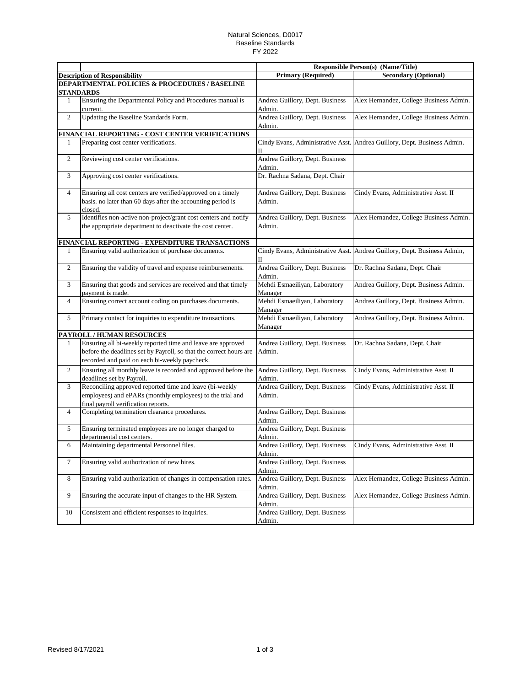## Natural Sciences, D0017 Baseline Standards FY 2022

|                |                                                                    |                                           | <b>Responsible Person(s) (Name/Title)</b> |  |
|----------------|--------------------------------------------------------------------|-------------------------------------------|-------------------------------------------|--|
|                | <b>Description of Responsibility</b>                               | <b>Primary (Required)</b>                 | <b>Secondary (Optional)</b>               |  |
|                | <b>DEPARTMENTAL POLICIES &amp; PROCEDURES / BASELINE</b>           |                                           |                                           |  |
|                | <b>STANDARDS</b>                                                   |                                           |                                           |  |
| 1              | Ensuring the Departmental Policy and Procedures manual is          | Andrea Guillory, Dept. Business           | Alex Hernandez, College Business Admin.   |  |
|                | current.                                                           | Admin.                                    |                                           |  |
| 2              | Updating the Baseline Standards Form.                              | Andrea Guillory, Dept. Business           | Alex Hernandez, College Business Admin.   |  |
|                |                                                                    | Admin.                                    |                                           |  |
|                | FINANCIAL REPORTING - COST CENTER VERIFICATIONS                    |                                           |                                           |  |
| 1              | Preparing cost center verifications.                               | Cindy Evans, Administrative Asst.         | Andrea Guillory, Dept. Business Admin.    |  |
|                |                                                                    | П                                         |                                           |  |
| 2              | Reviewing cost center verifications.                               | Andrea Guillory, Dept. Business           |                                           |  |
|                |                                                                    | Admin.                                    |                                           |  |
| 3              | Approving cost center verifications.                               | Dr. Rachna Sadana, Dept. Chair            |                                           |  |
|                |                                                                    |                                           |                                           |  |
| $\overline{4}$ | Ensuring all cost centers are verified/approved on a timely        | Andrea Guillory, Dept. Business           | Cindy Evans, Administrative Asst. II      |  |
|                | basis. no later than 60 days after the accounting period is        | Admin.                                    |                                           |  |
|                | closed.                                                            |                                           |                                           |  |
| 5              | Identifies non-active non-project/grant cost centers and notify    | Andrea Guillory, Dept. Business           | Alex Hernandez, College Business Admin.   |  |
|                | the appropriate department to deactivate the cost center.          | Admin.                                    |                                           |  |
|                | FINANCIAL REPORTING - EXPENDITURE TRANSACTIONS                     |                                           |                                           |  |
| 1              | Ensuring valid authorization of purchase documents.                | Cindy Evans, Administrative Asst.         | Andrea Guillory, Dept. Business Admin,    |  |
|                |                                                                    | П                                         |                                           |  |
| $\overline{c}$ | Ensuring the validity of travel and expense reimbursements.        | Andrea Guillory, Dept. Business           | Dr. Rachna Sadana, Dept. Chair            |  |
|                |                                                                    | Admin.                                    |                                           |  |
| 3              | Ensuring that goods and services are received and that timely      | Mehdi Esmaeiliyan, Laboratory             | Andrea Guillory, Dept. Business Admin.    |  |
|                | payment is made.                                                   | Manager                                   |                                           |  |
| $\overline{4}$ | Ensuring correct account coding on purchases documents.            | Mehdi Esmaeiliyan, Laboratory             | Andrea Guillory, Dept. Business Admin.    |  |
|                |                                                                    | Manager                                   |                                           |  |
| 5              | Primary contact for inquiries to expenditure transactions.         | Mehdi Esmaeiliyan, Laboratory             | Andrea Guillory, Dept. Business Admin.    |  |
|                |                                                                    | Manager                                   |                                           |  |
|                | PAYROLL / HUMAN RESOURCES                                          |                                           |                                           |  |
| 1              | Ensuring all bi-weekly reported time and leave are approved        | Andrea Guillory, Dept. Business           | Dr. Rachna Sadana, Dept. Chair            |  |
|                | before the deadlines set by Payroll, so that the correct hours are | Admin.                                    |                                           |  |
|                | recorded and paid on each bi-weekly paycheck.                      |                                           |                                           |  |
| 2              | Ensuring all monthly leave is recorded and approved before the     | Andrea Guillory, Dept. Business           | Cindy Evans, Administrative Asst. II      |  |
|                | deadlines set by Payroll.                                          | Admin.                                    |                                           |  |
| 3              | Reconciling approved reported time and leave (bi-weekly            | Andrea Guillory, Dept. Business           | Cindy Evans, Administrative Asst. II      |  |
|                | employees) and ePARs (monthly employees) to the trial and          | Admin.                                    |                                           |  |
|                | final payroll verification reports.                                |                                           |                                           |  |
| 4              | Completing termination clearance procedures.                       | Andrea Guillory, Dept. Business           |                                           |  |
|                |                                                                    | Admin.                                    |                                           |  |
| 5              | Ensuring terminated employees are no longer charged to             | Andrea Guillory, Dept. Business           |                                           |  |
|                | departmental cost centers.                                         | Admin.                                    |                                           |  |
| 6              | Maintaining departmental Personnel files.                          | Andrea Guillory, Dept. Business           | Cindy Evans, Administrative Asst. II      |  |
|                |                                                                    | Admin.                                    |                                           |  |
| $\tau$         | Ensuring valid authorization of new hires.                         | Andrea Guillory, Dept. Business           |                                           |  |
|                |                                                                    | Admin.                                    |                                           |  |
| 8              | Ensuring valid authorization of changes in compensation rates.     | Andrea Guillory, Dept. Business<br>Admin. | Alex Hernandez, College Business Admin.   |  |
| 9              | Ensuring the accurate input of changes to the HR System.           | Andrea Guillory, Dept. Business           | Alex Hernandez, College Business Admin.   |  |
|                |                                                                    | Admin.                                    |                                           |  |
| 10             | Consistent and efficient responses to inquiries.                   | Andrea Guillory, Dept. Business           |                                           |  |
|                |                                                                    | Admin.                                    |                                           |  |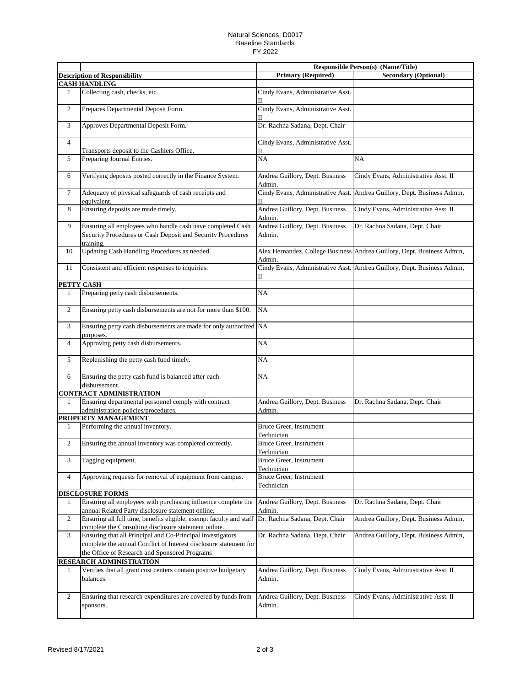## Natural Sciences, D0017 Baseline Standards FY 2022

|                |                                                                                                                                 | <b>Responsible Person(s) (Name/Title)</b> |                                                                          |  |
|----------------|---------------------------------------------------------------------------------------------------------------------------------|-------------------------------------------|--------------------------------------------------------------------------|--|
|                | <b>Description of Responsibility</b>                                                                                            | <b>Primary (Required)</b>                 | <b>Secondary (Optional)</b>                                              |  |
|                | <b>CASH HANDLING</b>                                                                                                            |                                           |                                                                          |  |
| 1              | Collecting cash, checks, etc.                                                                                                   | Cindy Evans, Administrative Asst.<br>П    |                                                                          |  |
| $\overline{c}$ | Prepares Departmental Deposit Form.                                                                                             | Cindy Evans, Administrative Asst.         |                                                                          |  |
| 3              | Approves Departmental Deposit Form.                                                                                             | Dr. Rachna Sadana, Dept. Chair            |                                                                          |  |
| $\overline{4}$ |                                                                                                                                 | Cindy Evans, Administrative Asst.         |                                                                          |  |
|                | Transports deposit to the Cashiers Office.                                                                                      | П                                         |                                                                          |  |
| 5              | Preparing Journal Entries.                                                                                                      | NA                                        | <b>NA</b>                                                                |  |
| 6              | Verifying deposits posted correctly in the Finance System.                                                                      | Andrea Guillory, Dept. Business<br>Admin. | Cindy Evans, Administrative Asst. II                                     |  |
| $\tau$         | Adequacy of physical safeguards of cash receipts and<br>equivalent.                                                             | П                                         | Cindy Evans, Administrative Asst. Andrea Guillory, Dept. Business Admin, |  |
| 8              | Ensuring deposits are made timely.                                                                                              | Andrea Guillory, Dept. Business<br>Admin. | Cindy Evans, Administrative Asst. II                                     |  |
| 9              | Ensuring all employees who handle cash have completed Cash                                                                      | Andrea Guillory, Dept. Business           | Dr. Rachna Sadana, Dept. Chair                                           |  |
|                | Security Procedures or Cash Deposit and Security Procedures<br>training.                                                        | Admin.                                    |                                                                          |  |
| 10             | Updating Cash Handling Procedures as needed.                                                                                    | Admin.                                    | Alex Hernandez, College Business Andrea Guillory, Dept. Business Admin,  |  |
| 11             | Consistent and efficient responses to inquiries.                                                                                | П                                         | Cindy Evans, Administrative Asst. Andrea Guillory, Dept. Business Admin, |  |
| PETTY CASH     |                                                                                                                                 |                                           |                                                                          |  |
| $\mathbf{1}$   | Preparing petty cash disbursements.                                                                                             | NA                                        |                                                                          |  |
| $\overline{c}$ | Ensuring petty cash disbursements are not for more than \$100.                                                                  | <b>NA</b>                                 |                                                                          |  |
| 3              | Ensuring petty cash disbursements are made for only authorized NA<br>purposes.                                                  |                                           |                                                                          |  |
| $\overline{4}$ | Approving petty cash disbursements.                                                                                             | <b>NA</b>                                 |                                                                          |  |
| 5              | Replenishing the petty cash fund timely.                                                                                        | NA                                        |                                                                          |  |
| 6              | Ensuring the petty cash fund is balanced after each<br>disbursement.                                                            | <b>NA</b>                                 |                                                                          |  |
|                | <b>CONTRACT ADMINISTRATION</b>                                                                                                  |                                           |                                                                          |  |
| 1              | Ensuring departmental personnel comply with contract<br>administration policies/procedures.                                     | Andrea Guillory, Dept. Business<br>Admin. | Dr. Rachna Sadana, Dept. Chair                                           |  |
|                | PROPERTY MANAGEMENT                                                                                                             |                                           |                                                                          |  |
| 1              | Performing the annual inventory.                                                                                                | Bruce Greer, Instrument                   |                                                                          |  |
|                |                                                                                                                                 | Technician                                |                                                                          |  |
| $\overline{c}$ | Ensuring the annual inventory was completed correctly.                                                                          | Bruce Greer, Instrument<br>Technician     |                                                                          |  |
| 3              | Tagging equipment.                                                                                                              | Bruce Greer, Instrument<br>Technician     |                                                                          |  |
| $\overline{4}$ | Approving requests for removal of equipment from campus.                                                                        | Bruce Greer, Instrument<br>Technician     |                                                                          |  |
|                | <b>DISCLOSURE FORMS</b>                                                                                                         |                                           |                                                                          |  |
| 1              | Ensuring all employees with purchasing influence complete the<br>annual Related Party disclosure statement online.              | Andrea Guillory, Dept. Business<br>Admin. | Dr. Rachna Sadana, Dept. Chair                                           |  |
| $\overline{c}$ | Ensuring all full time, benefits eligible, exempt faculty and staff                                                             | Dr. Rachna Sadana, Dept. Chair            | Andrea Guillory, Dept. Business Admin,                                   |  |
|                | complete the Consulting disclosure statement online.                                                                            |                                           |                                                                          |  |
| 3              | Ensuring that all Principal and Co-Principal Investigators<br>complete the annual Conflict of Interest disclosure statement for | Dr. Rachna Sadana, Dept. Chair            | Andrea Guillory, Dept. Business Admin,                                   |  |
|                | the Office of Research and Sponsored Programs                                                                                   |                                           |                                                                          |  |
|                | <b>RESEARCH ADMINISTRATION</b>                                                                                                  |                                           |                                                                          |  |
| 1              | Verifies that all grant cost centers contain positive budgetary<br>balances.                                                    | Andrea Guillory, Dept. Business<br>Admin. | Cindy Evans, Administrative Asst. II                                     |  |
| $\overline{c}$ | Ensuring that research expenditures are covered by funds from<br>sponsors.                                                      | Andrea Guillory, Dept. Business<br>Admin. | Cindy Evans, Administrative Asst. II                                     |  |